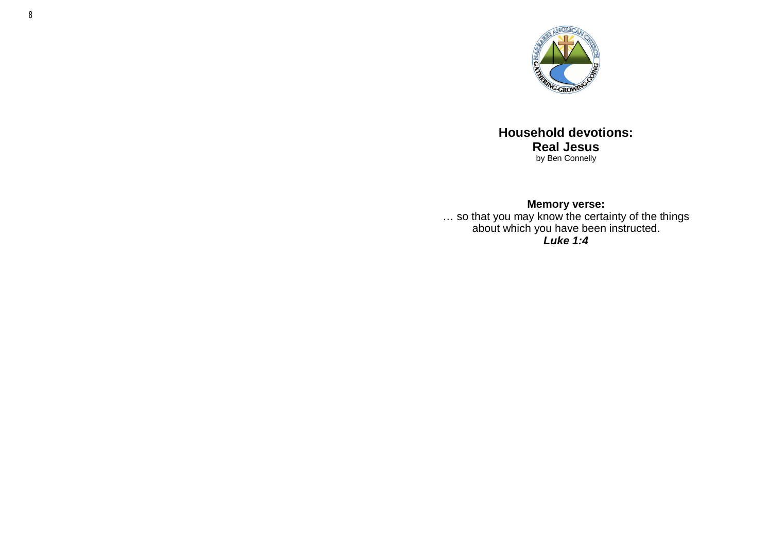

## **Household devotions: Real Jesus** by Ben Connelly

#### **Memory verse:**

… so that you may know the certainty of the things about which you have been instructed. *Luke 1:4*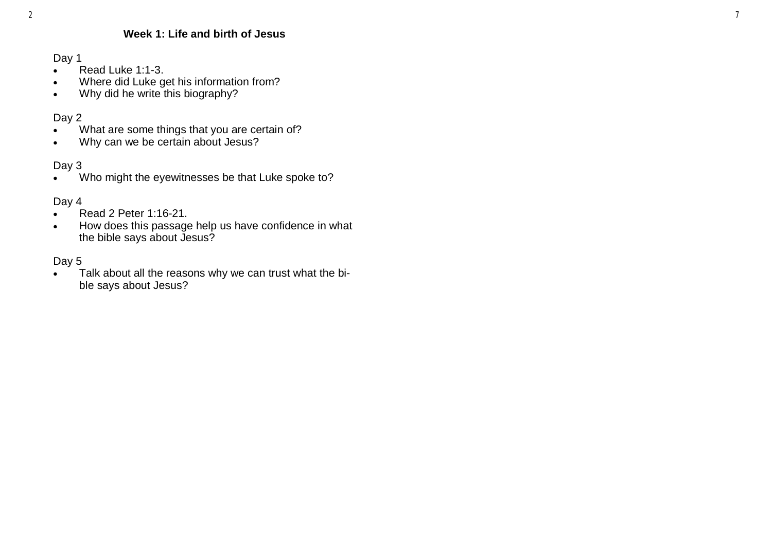#### 2

## **Week 1: Life and birth of Jesus**

Day 1

- Read Luke 1:1-3.
- Where did Luke get his information from?
- Why did he write this biography?

## Day 2

- . What are some things that you are certain of?
- Why can we be certain about Jesus?

## Day 3

. Who might the eyewitnesses be that Luke spoke to?

## Day 4

- Read 2 Peter 1:16-21.
- How does this passage help us have confidence in what the bible says about Jesus?

## Day 5

• Talk about all the reasons why we can trust what the bible says about Jesus?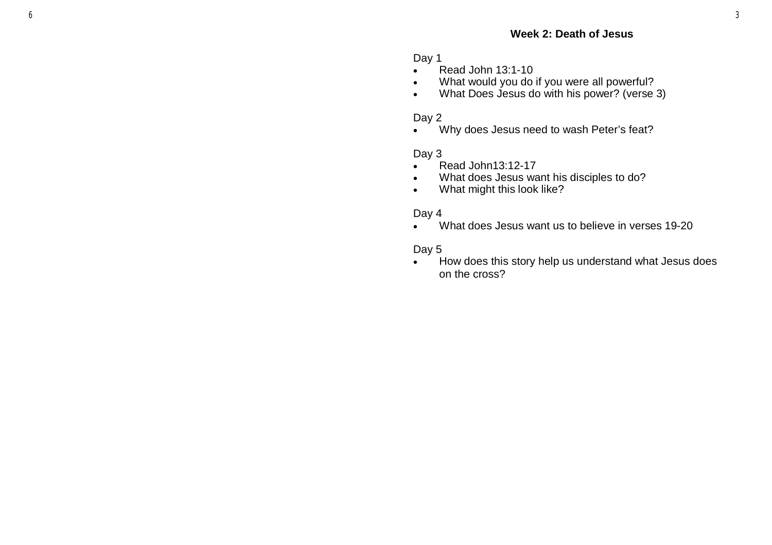## **Week 2: Death of Jesus**

Day 1

- Read John 13:1-10
- What would you do if you were all powerful?
- What Does Jesus do with his power? (verse 3)

## Day 2

Why does Jesus need to wash Peter 's feat?

Day 3

- Read John13:12-17
- What does Jesus want his disciples to do?
- What might this look like?

### Day 4

What does Jesus want us to believe in verses 19 -20

### Day 5

• How does this story help us understand what Jesus does on the cross?